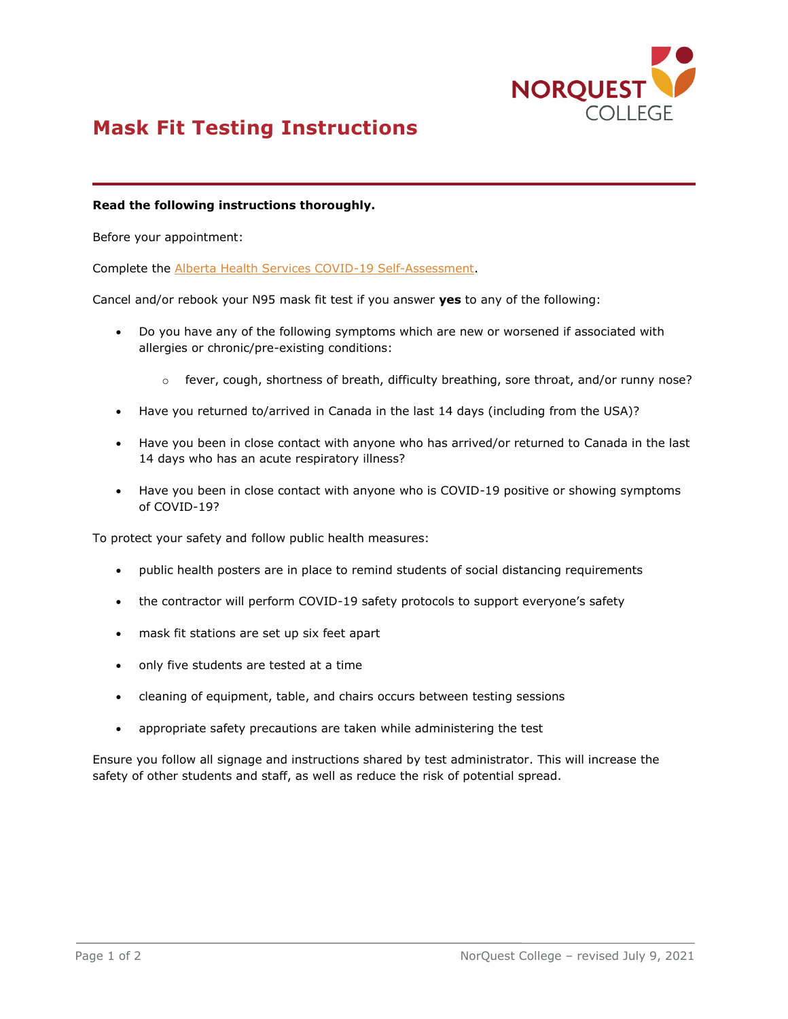

## **Mask Fit Testing Instructions**

#### **Read the following instructions thoroughly.**

Before your appointment:

Complete the [Alberta Health Services COVID-19 Self-Assessment.](https://myhealth.alberta.ca/Journey/COVID-19/Pages/COVID-Self-Assessment.aspx)

Cancel and/or rebook your N95 mask fit test if you answer **yes** to any of the following:

- Do you have any of the following symptoms which are new or worsened if associated with allergies or chronic/pre-existing conditions:
	- $\circ$  fever, cough, shortness of breath, difficulty breathing, sore throat, and/or runny nose?
- Have you returned to/arrived in Canada in the last 14 days (including from the USA)?
- Have you been in close contact with anyone who has arrived/or returned to Canada in the last 14 days who has an acute respiratory illness?
- Have you been in close contact with anyone who is COVID-19 positive or showing symptoms of COVID-19?

To protect your safety and follow public health measures:

- public health posters are in place to remind students of social distancing requirements
- the contractor will perform COVID-19 safety protocols to support everyone's safety
- mask fit stations are set up six feet apart
- only five students are tested at a time
- cleaning of equipment, table, and chairs occurs between testing sessions
- appropriate safety precautions are taken while administering the test

Ensure you follow all signage and instructions shared by test administrator. This will increase the safety of other students and staff, as well as reduce the risk of potential spread.